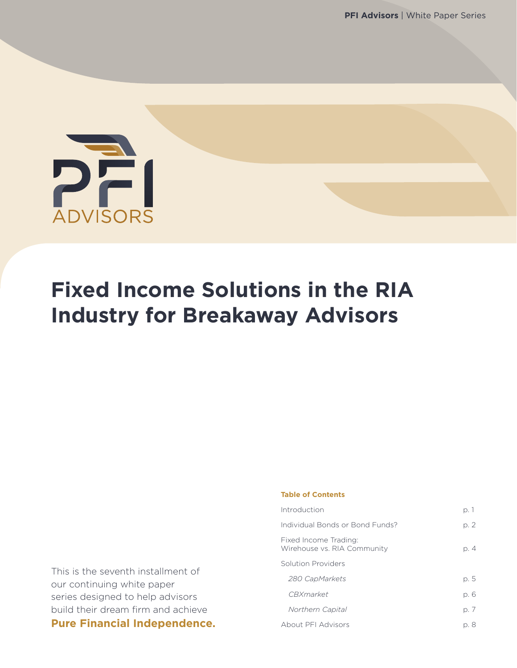

### **Fixed Income Solutions in the RIA Industry for Breakaway Advisors**

**Table of Contents**

| Introduction                                         | p. 1 |
|------------------------------------------------------|------|
| Individual Bonds or Bond Funds?                      | p. 2 |
| Fixed Income Trading:<br>Wirehouse vs. RIA Community | p. 4 |
| Solution Providers                                   |      |
| 280 CapMarkets                                       | p. 5 |
| <i>C.B.Xmarket</i>                                   | p. 6 |
| Northern Capital                                     | p. 7 |
| <b>About PFI Advisors</b>                            | p. 8 |

This is the seventh installment of our continuing white paper series designed to help advisors build their dream firm and achieve **Pure Financial Independence.**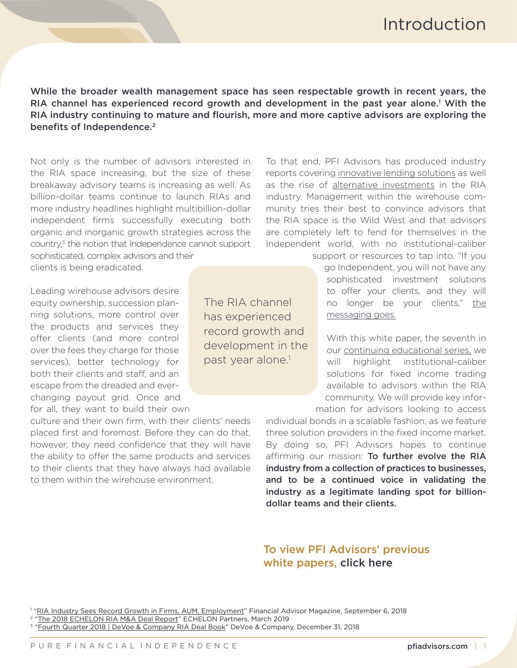While the broader wealth management space has seen respectable growth in recent years, the RIA channel has experienced record growth and development in the past year alone.<sup>1</sup> With the RIA industry continuing to mature and flourish, more and more captive advisors are exploring the benefits of Independence.<sup>2</sup>

Not only is the number of advisors interested in the RIA space increasing, but the size of these breakaway advisory teams is increasing as well. As billion-dollar teams continue to launch RIAs and more industry headlines highlight multibillion-dollar independent firms successfully executing both organic and inorganic growth strategies across the country,<sup>3</sup> the notion that Independence cannot support

sophisticated, complex advisors and their clients is being eradicated.

Leading wirehouse advisors desire equity ownership, succession planning solutions, more control over the products and services they offer clients (and more control over the fees they charge for those services), better technology for both their clients and staff, and an escape from the dreaded and everchanging payout grid. Once and for all, they want to build their own

culture and their own firm, with their clients' needs placed first and foremost. Before they can do that, however, they need confidence that they will have the ability to offer the same products and services to their clients that they have always had available to them within the wirehouse environment.

The RIA channel has experienced record growth and development in the past year alone.<sup>1</sup>

To that end, PFI Advisors has produced industry reports covering [innovative lending solutions](https://pfiadvisors.com/wp-content/uploads/2017/01/PFI-Advisors-White-Paper-Lending-Solutions-for-RIAs.pdf) as well as the rise of [alternative investments](https://pfiadvisors.com/wp-content/uploads/2017/10/PFI-Advisors-White-Paper-Alternative-Investment-Solutions-for-RIAs.pdf) in the RIA industry. Management within the wirehouse community tries their best to convince advisors that the RIA space is the Wild West and that advisors are completely left to fend for themselves in the Independent world, with no institutional-caliber

> support or resources to tap into. "If you go Independent, you will not have any sophisticated investment solutions to offer your clients, and they will no longer be your clients," the [messaging goes.](https://pfiadvisors.com/dont-let-the-wirehouses-lie-to-you-about-technology/)

With this white paper, the seventh in our [continuing educational series,](https://pfiadvisors.com/category/white-papers/) we will highlight institutional-caliber solutions for fixed income trading available to advisors within the RIA community. We will provide key information for advisors looking to access

individual bonds in a scalable fashion, as we feature three solution providers in the fixed income market. By doing so, PFI Advisors hopes to continue affirming our mission: To further evolve the RIA industry from a collection of practices to businesses, and to be a continued voice in validating the industry as a legitimate landing spot for billiondollar teams and their clients.

#### To view PFI Advisors' previous white papers, [click here](https://pfiadvisors.com/category/white-papers/)

<sup>1</sup> "[RIA Industry Sees Record Growth in Firms, AUM, Employment](https://www.fa-mag.com/news/advisor-industry-sees-record-growth-in-firms--aum--employment-40703.html)" Financial Advisor Magazine, September 6, 2018

- 2 "[The 2018 ECHELON RIA M&A Deal Report](http://www.echelon-partners.com/wp-content/uploads/2013/03/ECHELON-Partners-The-2018-RIA-MA-Deal-Report.pdf)" ECHELON Partners, March 2019
- 3 "[Fourth Quarter 2018 | DeVoe & Company RIA Deal Book](https://static1.squarespace.com/static/5410ec1be4b0b9bdbd0cc342/t/5c40ea7a88251b62981df436/1547758203913/Devoe+RIA+Dealbook+4Q18+FINAL.pdf)" DeVoe & Company, December 31, 2018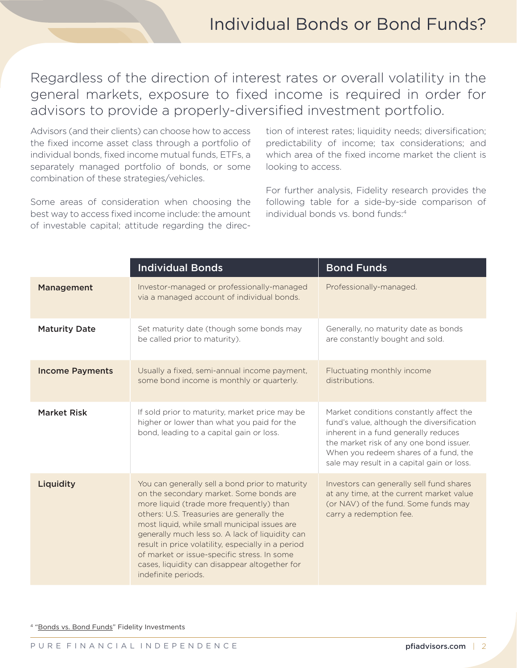Regardless of the direction of interest rates or overall volatility in the general markets, exposure to fixed income is required in order for advisors to provide a properly-diversified investment portfolio.

Advisors (and their clients) can choose how to access the fixed income asset class through a portfolio of individual bonds, fixed income mutual funds, ETFs, a separately managed portfolio of bonds, or some combination of these strategies/vehicles.

Some areas of consideration when choosing the best way to access fixed income include: the amount of investable capital; attitude regarding the direction of interest rates; liquidity needs; diversification; predictability of income; tax considerations; and which area of the fixed income market the client is looking to access.

For further analysis, Fidelity research provides the following table for a side-by-side comparison of individual bonds vs. bond funds:4

|                        | <b>Individual Bonds</b>                                                                                                                                                                                                                                                                                                                                                                                                                                              | <b>Bond Funds</b>                                                                                                                                                                                                                                               |
|------------------------|----------------------------------------------------------------------------------------------------------------------------------------------------------------------------------------------------------------------------------------------------------------------------------------------------------------------------------------------------------------------------------------------------------------------------------------------------------------------|-----------------------------------------------------------------------------------------------------------------------------------------------------------------------------------------------------------------------------------------------------------------|
| Management             | Investor-managed or professionally-managed<br>via a managed account of individual bonds.                                                                                                                                                                                                                                                                                                                                                                             | Professionally-managed.                                                                                                                                                                                                                                         |
| <b>Maturity Date</b>   | Set maturity date (though some bonds may<br>be called prior to maturity).                                                                                                                                                                                                                                                                                                                                                                                            | Generally, no maturity date as bonds<br>are constantly bought and sold.                                                                                                                                                                                         |
| <b>Income Payments</b> | Usually a fixed, semi-annual income payment,<br>some bond income is monthly or quarterly.                                                                                                                                                                                                                                                                                                                                                                            | Fluctuating monthly income<br>distributions.                                                                                                                                                                                                                    |
| <b>Market Risk</b>     | If sold prior to maturity, market price may be<br>higher or lower than what you paid for the<br>bond, leading to a capital gain or loss.                                                                                                                                                                                                                                                                                                                             | Market conditions constantly affect the<br>fund's value, although the diversification<br>inherent in a fund generally reduces<br>the market risk of any one bond issuer.<br>When you redeem shares of a fund, the<br>sale may result in a capital gain or loss. |
| Liquidity              | You can generally sell a bond prior to maturity<br>on the secondary market. Some bonds are<br>more liquid (trade more frequently) than<br>others: U.S. Treasuries are generally the<br>most liquid, while small municipal issues are<br>generally much less so. A lack of liquidity can<br>result in price volatility, especially in a period<br>of market or issue-specific stress. In some<br>cases, liquidity can disappear altogether for<br>indefinite periods. | Investors can generally sell fund shares<br>at any time, at the current market value<br>(or NAV) of the fund. Some funds may<br>carry a redemption fee.                                                                                                         |

4 ["Bonds vs. Bond Funds"](https://www.fidelity.com/learning-center/investment-products/mutual-funds/bond-vs-bond-funds) Fidelity Investments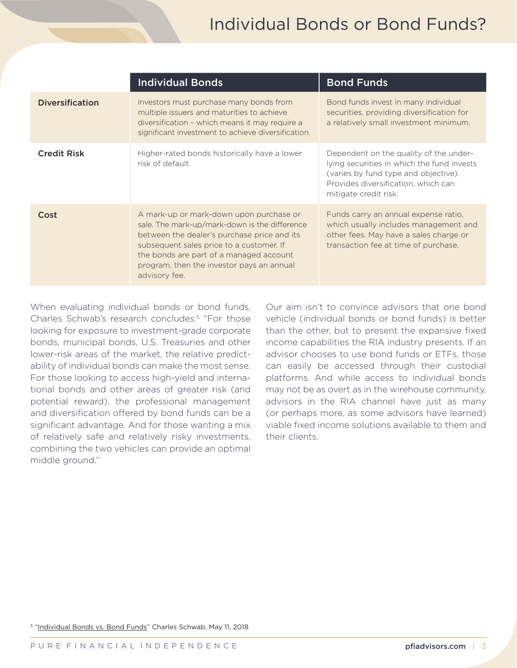### Individual Bonds or Bond Funds?

|                        | <b>Individual Bonds</b>                                                                                                                                                                                                                                                                      | <b>Bond Funds</b>                                                                                                                                                                            |
|------------------------|----------------------------------------------------------------------------------------------------------------------------------------------------------------------------------------------------------------------------------------------------------------------------------------------|----------------------------------------------------------------------------------------------------------------------------------------------------------------------------------------------|
| <b>Diversification</b> | Investors must purchase many bonds from<br>multiple issuers and maturities to achieve<br>diversification - which means it may require a<br>significant investment to achieve diversification.                                                                                                | Bond funds invest in many individual<br>securities, providing diversification for<br>a relatively small investment minimum.                                                                  |
| <b>Credit Risk</b>     | Higher-rated bonds historically have a lower<br>risk of default.                                                                                                                                                                                                                             | Dependent on the quality of the under-<br>lying securities in which the fund invests<br>(varies by fund type and objective).<br>Provides diversification, which can<br>mitigate credit risk. |
| Cost                   | A mark-up or mark-down upon purchase or<br>sale. The mark-up/mark-down is the difference<br>between the dealer's purchase price and its<br>subsequent sales price to a customer. If<br>the bonds are part of a managed account<br>program, then the investor pays an annual<br>advisory fee. | Funds carry an annual expense ratio,<br>which usually includes management and<br>other fees. May have a sales charge or<br>transaction fee at time of purchase.                              |

When evaluating individual bonds or bond funds, Charles Schwab's research concludes:5 "For those looking for exposure to investment-grade corporate bonds, municipal bonds, U.S. Treasuries and other lower-risk areas of the market, the relative predictability of individual bonds can make the most sense. For those looking to access high-yield and international bonds and other areas of greater risk (and potential reward), the professional management and diversification offered by bond funds can be a significant advantage. And for those wanting a mix of relatively safe and relatively risky investments, combining the two vehicles can provide an optimal middle ground."

Our aim isn't to convince advisors that one bond vehicle (individual bonds or bond funds) is better than the other, but to present the expansive fixed income capabilities the RIA industry presents. If an advisor chooses to use bond funds or ETFs, those can easily be accessed through their custodial platforms. And while access to individual bonds may not be as overt as in the wirehouse community, advisors in the RIA channel have just as many (or perhaps more, as some advisors have learned) viable fixed income solutions available to them and their clients.

<sup>5</sup> "[Individual Bonds vs. Bond Funds](https://www.schwab.com/resource-center/insights/content/individual-bonds-vs-bond-funds)" Charles Schwab, May 11, 2018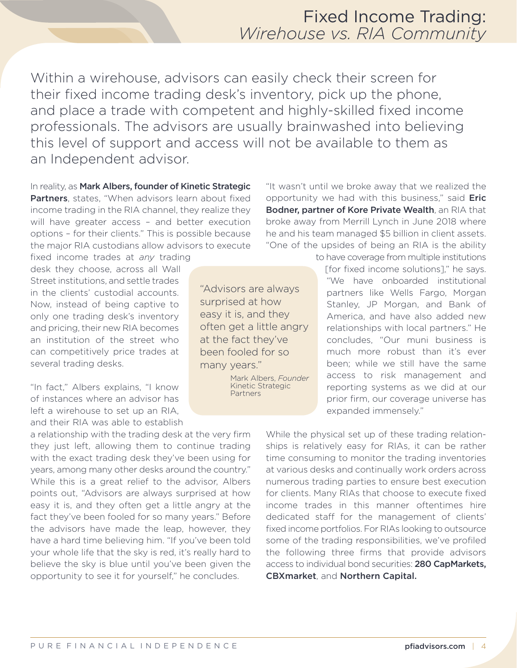#### Fixed Income Trading: *Wirehouse vs. RIA Community*

Within a wirehouse, advisors can easily check their screen for their fixed income trading desk's inventory, pick up the phone, and place a trade with competent and highly-skilled fixed income professionals. The advisors are usually brainwashed into believing this level of support and access will not be available to them as an Independent advisor.

In reality, as Mark Albers, founder of Kinetic Strategic Partners, states, "When advisors learn about fixed income trading in the RIA channel, they realize they will have greater access – and better execution options – for their clients." This is possible because the major RIA custodians allow advisors to execute

fixed income trades at *any* trading desk they choose, across all Wall Street institutions, and settle trades in the clients' custodial accounts. Now, instead of being captive to only one trading desk's inventory and pricing, their new RIA becomes an institution of the street who can competitively price trades at several trading desks.

"In fact," Albers explains, "I know of instances where an advisor has left a wirehouse to set up an RIA, and their RIA was able to establish

a relationship with the trading desk at the very firm they just left, allowing them to continue trading with the exact trading desk they've been using for years, among many other desks around the country." While this is a great relief to the advisor, Albers points out, "Advisors are always surprised at how easy it is, and they often get a little angry at the fact they've been fooled for so many years." Before the advisors have made the leap, however, they have a hard time believing him. "If you've been told your whole life that the sky is red, it's really hard to believe the sky is blue until you've been given the opportunity to see it for yourself," he concludes.

"Advisors are always surprised at how easy it is, and they often get a little angry at the fact they've been fooled for so many years."

> Mark Albers, *Founder* Kinetic Strategic Partners

"It wasn't until we broke away that we realized the opportunity we had with this business," said **Eric** Bodner, partner of Kore Private Wealth, an RIA that broke away from Merrill Lynch in June 2018 where he and his team managed \$5 billion in client assets. "One of the upsides of being an RIA is the ability

> to have coverage from multiple institutions [for fixed income solutions]," he says. "We have onboarded institutional partners like Wells Fargo, Morgan Stanley, JP Morgan, and Bank of America, and have also added new relationships with local partners." He concludes, "Our muni business is much more robust than it's ever been; while we still have the same access to risk management and reporting systems as we did at our prior firm, our coverage universe has expanded immensely."

While the physical set up of these trading relationships is relatively easy for RIAs, it can be rather time consuming to monitor the trading inventories at various desks and continually work orders across numerous trading parties to ensure best execution for clients. Many RIAs that choose to execute fixed income trades in this manner oftentimes hire dedicated staff for the management of clients' fixed income portfolios. For RIAs looking to outsource some of the trading responsibilities, we've profiled the following three firms that provide advisors access to individual bond securities: 280 CapMarkets, CBXmarket, and Northern Capital.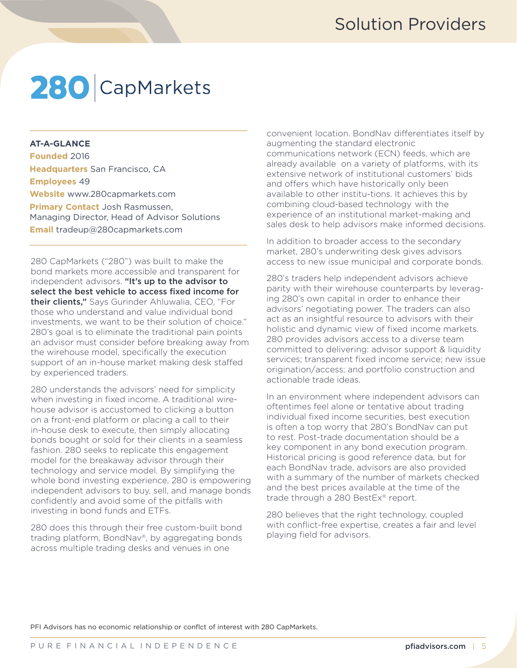## 280 CapMarkets

#### **AT-A-GLANCE**

**Founded** 2016 **Headquarters** San Francisco, CA **Employees** 49 **Website** [www.280capmarkets.com](http://www.280capmarkets.com) **Primary Contact** Josh Rasmussen, Managing Director, Head of Advisor Solutions **Email** [tradeup@280capmarkets.com](mailto:tradeup@280capmarkets.com ) 

280 CapMarkets ("280") was built to make the bond markets more accessible and transparent for independent advisors. "It's up to the advisor to select the best vehicle to access fixed income for their clients," Says Gurinder Ahluwalia, CEO, "For those who understand and value individual bond investments, we want to be their solution of choice." 280's goal is to eliminate the traditional pain points an advisor must consider before breaking away from the wirehouse model, specifically the execution support of an in-house market making desk staffed by experienced traders.

280 understands the advisors' need for simplicity when investing in fixed income. A traditional wirehouse advisor is accustomed to clicking a button on a front-end platform or placing a call to their in-house desk to execute, then simply allocating bonds bought or sold for their clients in a seamless fashion. 280 seeks to replicate this engagement model for the breakaway advisor through their technology and service model. By simplifying the whole bond investing experience, 280 is empowering independent advisors to buy, sell, and manage bonds confidently and avoid some of the pitfalls with investing in bond funds and ETFs.

280 does this through their free custom-built bond trading platform, BondNav®, by aggregating bonds across multiple trading desks and venues in one

convenient location. BondNav differentiates itself by augmenting the standard electronic communications network (ECN) feeds, which are already available on a variety of platforms, with its extensive network of institutional customers' bids and offers which have historically only been available to other institu-tions. It achieves this by combining cloud-based technology with the experience of an institutional market-making and sales desk to help advisors make informed decisions.

In addition to broader access to the secondary market, 280's underwriting desk gives advisors access to new issue municipal and corporate bonds.

280's traders help independent advisors achieve parity with their wirehouse counterparts by leveraging 280's own capital in order to enhance their advisors' negotiating power. The traders can also act as an insightful resource to advisors with their holistic and dynamic view of fixed income markets. 280 provides advisors access to a diverse team committed to delivering: advisor support & liquidity services; transparent fixed income service; new issue origination/access; and portfolio construction and actionable trade ideas.

In an environment where independent advisors can oftentimes feel alone or tentative about trading individual fixed income securities, best execution is often a top worry that 280's BondNav can put to rest. Post-trade documentation should be a key component in any bond execution program. Historical pricing is good reference data, but for each BondNav trade, advisors are also provided with a summary of the number of markets checked and the best prices available at the time of the trade through a 280 BestEx® report.

280 believes that the right technology, coupled with conflict-free expertise, creates a fair and level playing field for advisors.

PFI Advisors has no economic relationship or conflct of interest with 280 CapMarkets.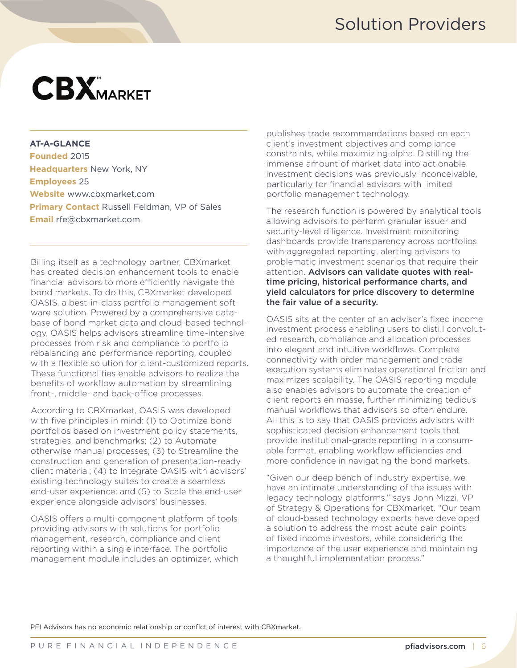### Solution Providers

# **CBX**MARKET

#### **AT-A-GLANCE**

**Founded** 2015 **Headquarters** New York, NY **Employees** 25 **Website** [www.cbxmarket.com](http://www.cbxmarket.com) **Primary Contact** Russell Feldman, VP of Sales **Email** [rfe@cbxmarket.com](mailto:rfe@cbxmarket.com)

Billing itself as a technology partner, CBXmarket has created decision enhancement tools to enable financial advisors to more efficiently navigate the bond markets. To do this, CBXmarket developed OASIS, a best-in-class portfolio management software solution. Powered by a comprehensive database of bond market data and cloud-based technology, OASIS helps advisors streamline time-intensive processes from risk and compliance to portfolio rebalancing and performance reporting, coupled with a flexible solution for client-customized reports. These functionalities enable advisors to realize the benefits of workflow automation by streamlining front-, middle- and back-office processes.

According to CBXmarket, OASIS was developed with five principles in mind: (1) to Optimize bond portfolios based on investment policy statements, strategies, and benchmarks; (2) to Automate otherwise manual processes; (3) to Streamline the construction and generation of presentation-ready client material; (4) to Integrate OASIS with advisors' existing technology suites to create a seamless end-user experience; and (5) to Scale the end-user experience alongside advisors' businesses.

OASIS offers a multi-component platform of tools providing advisors with solutions for portfolio management, research, compliance and client reporting within a single interface. The portfolio management module includes an optimizer, which publishes trade recommendations based on each client's investment objectives and compliance constraints, while maximizing alpha. Distilling the immense amount of market data into actionable investment decisions was previously inconceivable, particularly for financial advisors with limited portfolio management technology.

The research function is powered by analytical tools allowing advisors to perform granular issuer and security-level diligence. Investment monitoring dashboards provide transparency across portfolios with aggregated reporting, alerting advisors to problematic investment scenarios that require their attention. Advisors can validate quotes with realtime pricing, historical performance charts, and yield calculators for price discovery to determine the fair value of a security.

OASIS sits at the center of an advisor's fixed income investment process enabling users to distill convoluted research, compliance and allocation processes into elegant and intuitive workflows. Complete connectivity with order management and trade execution systems eliminates operational friction and maximizes scalability. The OASIS reporting module also enables advisors to automate the creation of client reports en masse, further minimizing tedious manual workflows that advisors so often endure. All this is to say that OASIS provides advisors with sophisticated decision enhancement tools that provide institutional-grade reporting in a consumable format, enabling workflow efficiencies and more confidence in navigating the bond markets.

"Given our deep bench of industry expertise, we have an intimate understanding of the issues with legacy technology platforms," says John Mizzi, VP of Strategy & Operations for CBXmarket. "Our team of cloud-based technology experts have developed a solution to address the most acute pain points of fixed income investors, while considering the importance of the user experience and maintaining a thoughtful implementation process."

PFI Advisors has no economic relationship or conflct of interest with CBXmarket.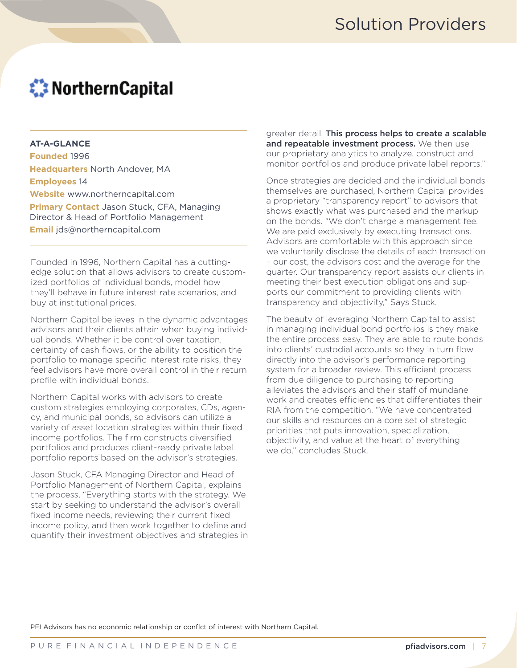### **Weitern Capital**

#### **AT-A-GLANCE**

**Founded** 1996 **Headquarters** North Andover, MA **Employees** 14 **Website** [www.northerncapital.com](http://www.northerncapital.com/) **Primary Contact** Jason Stuck, CFA, Managing Director & Head of Portfolio Management **Email** [jds@northerncapital.com](mailto:jds@northerncapital.com )

Founded in 1996, Northern Capital has a cuttingedge solution that allows advisors to create customized portfolios of individual bonds, model how they'll behave in future interest rate scenarios, and buy at institutional prices.

Northern Capital believes in the dynamic advantages advisors and their clients attain when buying individual bonds. Whether it be control over taxation, certainty of cash flows, or the ability to position the portfolio to manage specific interest rate risks, they feel advisors have more overall control in their return profile with individual bonds.

Northern Capital works with advisors to create custom strategies employing corporates, CDs, agency, and municipal bonds, so advisors can utilize a variety of asset location strategies within their fixed income portfolios. The firm constructs diversified portfolios and produces client-ready private label portfolio reports based on the advisor's strategies.

Jason Stuck, CFA Managing Director and Head of Portfolio Management of Northern Capital, explains the process, "Everything starts with the strategy. We start by seeking to understand the advisor's overall fixed income needs, reviewing their current fixed income policy, and then work together to define and quantify their investment objectives and strategies in

greater detail. This process helps to create a scalable and repeatable investment process. We then use our proprietary analytics to analyze, construct and monitor portfolios and produce private label reports."

Once strategies are decided and the individual bonds themselves are purchased, Northern Capital provides a proprietary "transparency report" to advisors that shows exactly what was purchased and the markup on the bonds. "We don't charge a management fee. We are paid exclusively by executing transactions. Advisors are comfortable with this approach since we voluntarily disclose the details of each transaction – our cost, the advisors cost and the average for the quarter. Our transparency report assists our clients in meeting their best execution obligations and supports our commitment to providing clients with transparency and objectivity," Says Stuck.

The beauty of leveraging Northern Capital to assist in managing individual bond portfolios is they make the entire process easy. They are able to route bonds into clients' custodial accounts so they in turn flow directly into the advisor's performance reporting system for a broader review. This efficient process from due diligence to purchasing to reporting alleviates the advisors and their staff of mundane work and creates efficiencies that differentiates their RIA from the competition. "We have concentrated our skills and resources on a core set of strategic priorities that puts innovation, specialization, objectivity, and value at the heart of everything we do," concludes Stuck.

PFI Advisors has no economic relationship or conflct of interest with Northern Capital.